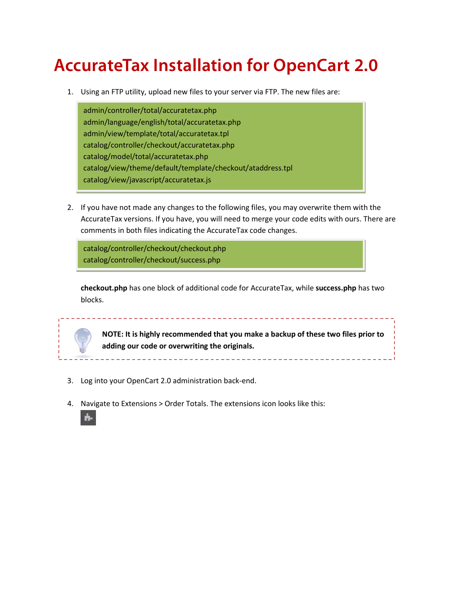## **AccurateTax Installation for OpenCart 2.0**

1. Using an FTP utility, upload new files to your server via FTP. The new files are:

admin/controller/total/accuratetax.php admin/language/english/total/accuratetax.php admin/view/template/total/accuratetax.tpl catalog/controller/checkout/accuratetax.php catalog/model/total/accuratetax.php catalog/view/theme/default/template/checkout/ataddress.tpl catalog/view/javascript/accuratetax.js

2. If you have not made any changes to the following files, you may overwrite them with the AccurateTax versions. If you have, you will need to merge your code edits with ours. There are comments in both files indicating the AccurateTax code changes.

catalog/controller/checkout/checkout.php catalog/controller/checkout/success.php

**checkout.php** has one block of additional code for AccurateTax, while **success.php** has two blocks.

---------------------------

**NOTE: It is highly recommended that you make a backup of these two files prior to adding our code or overwriting the originals.**

- 3. Log into your OpenCart 2.0 administration back-end.
- 4. Navigate to Extensions > Order Totals. The extensions icon looks like this:

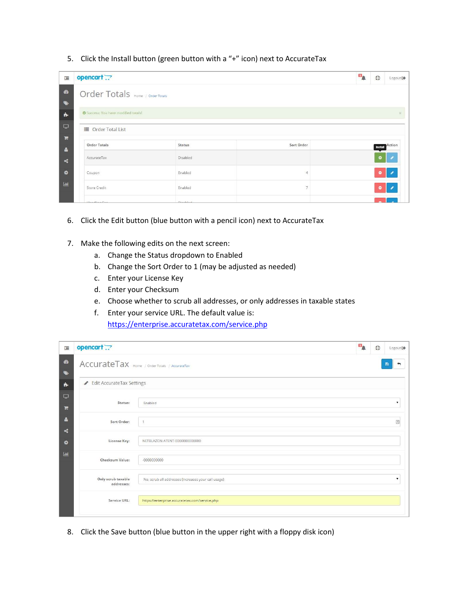5. Click the Install button (green button with a "+" icon) next to AccurateTax

| 津                          | opencart                           |              |                | O <sub>A</sub> | $\circledcirc$ | Logout <sup>®</sup>   |  |  |  |
|----------------------------|------------------------------------|--------------|----------------|----------------|----------------|-----------------------|--|--|--|
| $\circledast$<br>$\bullet$ | Order Totals Home / Order Totals   |              |                |                |                |                       |  |  |  |
| $\dot{h}$                  | Success: You have modified totals! |              |                |                |                |                       |  |  |  |
| $\Box$<br>Ħ                | ■ Order Total List                 |              |                |                |                |                       |  |  |  |
| $\Delta$                   | <b>Order Totals</b>                | Status       | Sort Order     |                |                | <b>Install</b> Action |  |  |  |
| $\leq$                     | AccurateTax                        | Disabled     |                |                | o              |                       |  |  |  |
| $\bullet$                  | Coupon                             | Enabled      | 4              |                |                | $\bullet$ /           |  |  |  |
| $h$                        | Store Credit                       | Enabled      | $\overline{7}$ |                | $\bullet$      |                       |  |  |  |
|                            | Floor Alberta France               | Distributed: |                |                |                |                       |  |  |  |

- 6. Click the Edit button (blue button with a pencil icon) next to AccurateTax
- 7. Make the following edits on the next screen:
	- a. Change the Status dropdown to Enabled
	- b. Change the Sort Order to 1 (may be adjusted as needed)
	- c. Enter your License Key
	- d. Enter your Checksum
	- e. Choose whether to scrub all addresses, or only addresses in taxable states
	- f. Enter your service URL. The default value is: <https://enterprise.accuratetax.com/service.php>

| 津                            | opencart                                      |                                                     | п. | $\bigoplus$ | Logout <sup>(+</sup> |
|------------------------------|-----------------------------------------------|-----------------------------------------------------|----|-------------|----------------------|
| $\circledast$<br>$\bullet$   | AccurateTax Home / Order Totals / AccurateTax |                                                     |    |             | 日                    |
| $\dot{\mathbf{n}}$           | Edit AccurateTax Settings                     |                                                     |    |             |                      |
| $\Box$<br>谓                  | Status:                                       | Enabled                                             |    |             | 7                    |
| $\Delta$<br>$\mathbf{x}_i^o$ | Sort Order:                                   | $\mathcal{I}$                                       |    |             | 回                    |
| $\bullet$                    | License Key:                                  | NETBLAZON-ATENT-0000000000000                       |    |             |                      |
| $ $ did                      | Checksum Value:                               | $-0000000000$                                       |    |             |                      |
|                              | Only scrub taxable<br>addresses:              | No, scrub all addresses (increases your call usage) |    |             | v                    |
|                              | Service URL:                                  | https://enterprise.accuratetax.com/service.php      |    |             |                      |

8. Click the Save button (blue button in the upper right with a floppy disk icon)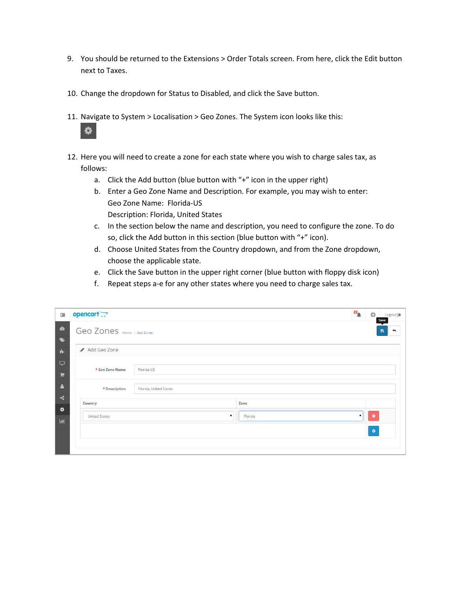- 9. You should be returned to the Extensions > Order Totals screen. From here, click the Edit button next to Taxes.
- 10. Change the dropdown for Status to Disabled, and click the Save button.
- 11. Navigate to System > Localisation > Geo Zones. The System icon looks like this:



- 12. Here you will need to create a zone for each state where you wish to charge sales tax, as follows:
	- a. Click the Add button (blue button with "+" icon in the upper right)
	- b. Enter a Geo Zone Name and Description. For example, you may wish to enter: Geo Zone Name: Florida-US Description: Florida, United States
	- c. In the section below the name and description, you need to configure the zone. To do so, click the Add button in this section (blue button with "+" icon).
	- d. Choose United States from the Country dropdown, and from the Zone dropdown, choose the applicable state.
	- e. Click the Save button in the upper right corner (blue button with floppy disk icon)
	- f. Repeat steps a-e for any other states where you need to charge sales tax.

| 津                           | opencart                                |         | $\mathbf{u}_\mathbf{A}$ | $\circledcirc$<br>Save | Logout <sup>(+</sup> |
|-----------------------------|-----------------------------------------|---------|-------------------------|------------------------|----------------------|
| $\bullet$                   | Geo Zones Home / Geo Zones              |         |                         | 日                      | ∽                    |
| $\bullet$<br>$\frac{1}{10}$ | Add Geo Zone                            |         |                         |                        |                      |
| $\Box$<br>$\blacksquare$    | * Geo Zone Name<br>Florida-US           |         |                         |                        |                      |
| $\Delta$                    | * Description<br>Florida, United States |         |                         |                        |                      |
| $\prec$<br>¢                | Country                                 | Zone    |                         |                        |                      |
| $\underline{\text{Lid}}$    | United States<br>$\mathbf{v}$           | Florida | $\mathbf{v}$            | $\bullet$              |                      |
|                             |                                         |         |                         | $\bullet$              |                      |
|                             |                                         |         |                         |                        |                      |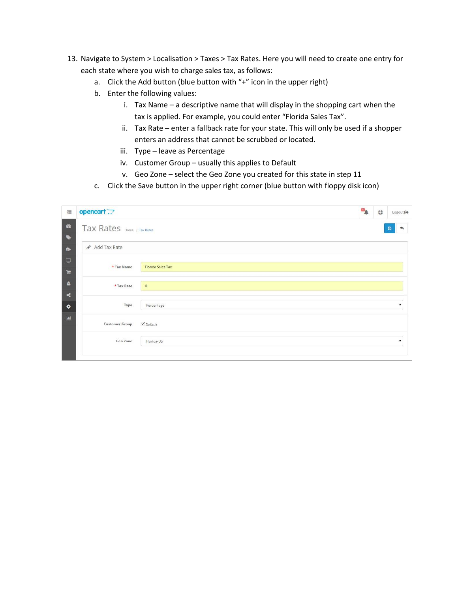- 13. Navigate to System > Localisation > Taxes > Tax Rates. Here you will need to create one entry for each state where you wish to charge sales tax, as follows:
	- a. Click the Add button (blue button with "+" icon in the upper right)
	- b. Enter the following values:
		- i. Tax Name a descriptive name that will display in the shopping cart when the tax is applied. For example, you could enter "Florida Sales Tax".
		- ii. Tax Rate enter a fallback rate for your state. This will only be used if a shopper enters an address that cannot be scrubbed or located.
		- iii. Type leave as Percentage
		- iv. Customer Group usually this applies to Default
		- v. Geo Zone select the Geo Zone you created for this state in step 11
	- c. Click the Save button in the upper right corner (blue button with floppy disk icon)

| $\overline{\phantom{a}}$ | opencart                   |                   | $\mathbf{p}$ | $\bullet$ | Logout <sup>(+</sup> |  |  |
|--------------------------|----------------------------|-------------------|--------------|-----------|----------------------|--|--|
| $\circledR$              | Tax Rates Home / Tax Rates |                   |              |           | 日                    |  |  |
| $\bullet$                |                            |                   |              |           |                      |  |  |
| $\dot{\mathbf{h}}$       | Add Tax Rate               |                   |              |           |                      |  |  |
| $\Box$                   |                            |                   |              |           |                      |  |  |
| $\blacksquare$           | * Tax Name                 | Florida Sales Tax |              |           |                      |  |  |
| $\Delta$                 | * Tax Rate                 | $6\phantom{.}6$   |              |           |                      |  |  |
| $\mathbf{r}_\mathrm{e}$  |                            |                   |              |           |                      |  |  |
| $\bullet$                | Type                       | Percentage        |              |           | $\pmb{\mathrm{v}}$   |  |  |
| $ $ alıl                 | <b>Customer Group</b>      | $\nu$ Default     |              |           |                      |  |  |
|                          | Geo Zone                   | Florida-US        |              |           | $\mathbf{v}$         |  |  |
|                          |                            |                   |              |           |                      |  |  |